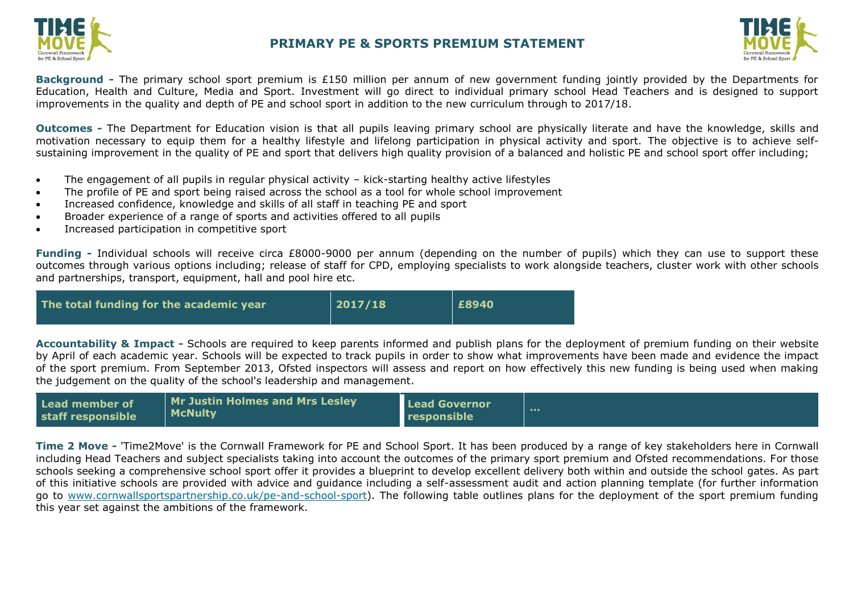

## **PRIMARY PE & SPORTS PREMIUM STATEMENT**



**Background -** The primary school sport premium is £150 million per annum of new government funding jointly provided by the Departments for Education, Health and Culture, Media and Sport. Investment will go direct to individual primary school Head Teachers and is designed to support improvements in the quality and depth of PE and school sport in addition to the new curriculum through to 2017/18.

**Outcomes -** The Department for Education vision is that all pupils leaving primary school are physically literate and have the knowledge, skills and motivation necessary to equip them for a healthy lifestyle and lifelong participation in physical activity and sport. The objective is to achieve selfsustaining improvement in the quality of PE and sport that delivers high quality provision of a balanced and holistic PE and school sport offer including;

- The engagement of all pupils in regular physical activity kick-starting healthy active lifestyles
- The profile of PE and sport being raised across the school as a tool for whole school improvement
- Increased confidence, knowledge and skills of all staff in teaching PE and sport
- Broader experience of a range of sports and activities offered to all pupils
- Increased participation in competitive sport

**Funding -** Individual schools will receive circa £8000-9000 per annum (depending on the number of pupils) which they can use to support these outcomes through various options including; release of staff for CPD, employing specialists to work alongside teachers, cluster work with other schools and partnerships, transport, equipment, hall and pool hire etc.

| The total funding for the academic year | 2017/18 | £8940 |
|-----------------------------------------|---------|-------|
|-----------------------------------------|---------|-------|

**Accountability & Impact -** Schools are required to keep parents informed and publish plans for the deployment of premium funding on their website by April of each academic year. Schools will be expected to track pupils in order to show what improvements have been made and [evidence the impact](http://www.cornwallsportspartnership.co.uk/)  of the sport premium. From September 2013, [Ofsted](http://www.ofsted.gov.uk/inspection-reports/our-expert-knowledge/physical-education) inspectors will assess and report on how effectively this new funding is being used when making the judgement on the quality of the school's leadership and management.

| Lead member of    | Mr Justin Holmes and Mrs Lesley | <b>Lead Governor</b> |  |
|-------------------|---------------------------------|----------------------|--|
| staff responsible | <b>McNulty</b>                  | <b>Tresponsible</b>  |  |

**Time 2 Move -** 'Time2Move' is the Cornwall Framework for PE and School Sport. It has been produced by a range of key stakeholders here in Cornwall including Head Teachers and subject specialists taking into account the outcomes of the primary sport premium and Ofsted recommendations. For those schools seeking a comprehensive school sport offer it provides a blueprint to develop excellent delivery both within and outside the school gates. As part of this initiative schools are provided with advice and guidance including a self-assessment audit and action planning template (for further information go to [www.cornwallsportspartnership.co.uk/pe-and-school-sport\)](http://www.cornwallsportspartnership.co.uk/pe-and-school-sport). The following table outlines plans for the deployment of the sport premium funding this year set against the ambitions of the framework.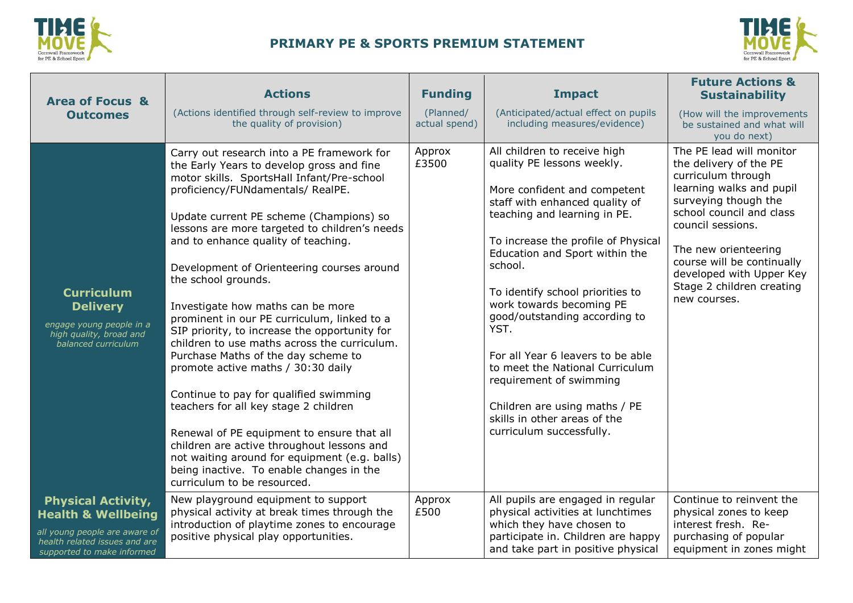

## **PRIMARY PE & SPORTS PREMIUM STATEMENT**



| <b>Area of Focus &amp;</b>                                                                                                                                 | <b>Actions</b>                                                                                                                                                                                                                                                                                                                                                                                                                                                                                                                                                                                                                                                                                                                                                                                                                                                                                                                                                  | <b>Funding</b>             | <b>Impact</b>                                                                                                                                                                                                                                                                                                                                                                                                                                                                                                                                             | <b>Future Actions &amp;</b><br><b>Sustainability</b>                                                                                                                                                                                                                                                         |
|------------------------------------------------------------------------------------------------------------------------------------------------------------|-----------------------------------------------------------------------------------------------------------------------------------------------------------------------------------------------------------------------------------------------------------------------------------------------------------------------------------------------------------------------------------------------------------------------------------------------------------------------------------------------------------------------------------------------------------------------------------------------------------------------------------------------------------------------------------------------------------------------------------------------------------------------------------------------------------------------------------------------------------------------------------------------------------------------------------------------------------------|----------------------------|-----------------------------------------------------------------------------------------------------------------------------------------------------------------------------------------------------------------------------------------------------------------------------------------------------------------------------------------------------------------------------------------------------------------------------------------------------------------------------------------------------------------------------------------------------------|--------------------------------------------------------------------------------------------------------------------------------------------------------------------------------------------------------------------------------------------------------------------------------------------------------------|
| <b>Outcomes</b>                                                                                                                                            | (Actions identified through self-review to improve<br>the quality of provision)                                                                                                                                                                                                                                                                                                                                                                                                                                                                                                                                                                                                                                                                                                                                                                                                                                                                                 | (Planned/<br>actual spend) | (Anticipated/actual effect on pupils<br>including measures/evidence)                                                                                                                                                                                                                                                                                                                                                                                                                                                                                      | (How will the improvements<br>be sustained and what will<br>you do next)                                                                                                                                                                                                                                     |
| <b>Curriculum</b><br><b>Delivery</b><br>engage young people in a<br>high quality, broad and<br>balanced curriculum                                         | Carry out research into a PE framework for<br>the Early Years to develop gross and fine<br>motor skills. SportsHall Infant/Pre-school<br>proficiency/FUNdamentals/ RealPE.<br>Update current PE scheme (Champions) so<br>lessons are more targeted to children's needs<br>and to enhance quality of teaching.<br>Development of Orienteering courses around<br>the school grounds.<br>Investigate how maths can be more<br>prominent in our PE curriculum, linked to a<br>SIP priority, to increase the opportunity for<br>children to use maths across the curriculum.<br>Purchase Maths of the day scheme to<br>promote active maths / 30:30 daily<br>Continue to pay for qualified swimming<br>teachers for all key stage 2 children<br>Renewal of PE equipment to ensure that all<br>children are active throughout lessons and<br>not waiting around for equipment (e.g. balls)<br>being inactive. To enable changes in the<br>curriculum to be resourced. | Approx<br>£3500            | All children to receive high<br>quality PE lessons weekly.<br>More confident and competent<br>staff with enhanced quality of<br>teaching and learning in PE.<br>To increase the profile of Physical<br>Education and Sport within the<br>school.<br>To identify school priorities to<br>work towards becoming PE<br>good/outstanding according to<br>YST.<br>For all Year 6 leavers to be able<br>to meet the National Curriculum<br>requirement of swimming<br>Children are using maths / PE<br>skills in other areas of the<br>curriculum successfully. | The PE lead will monitor<br>the delivery of the PE<br>curriculum through<br>learning walks and pupil<br>surveying though the<br>school council and class<br>council sessions.<br>The new orienteering<br>course will be continually<br>developed with Upper Key<br>Stage 2 children creating<br>new courses. |
| <b>Physical Activity,</b><br><b>Health &amp; Wellbeing</b><br>all young people are aware of<br>health related issues and are<br>supported to make informed | New playground equipment to support<br>physical activity at break times through the<br>introduction of playtime zones to encourage<br>positive physical play opportunities.                                                                                                                                                                                                                                                                                                                                                                                                                                                                                                                                                                                                                                                                                                                                                                                     | Approx<br>£500             | All pupils are engaged in regular<br>physical activities at lunchtimes<br>which they have chosen to<br>participate in. Children are happy<br>and take part in positive physical                                                                                                                                                                                                                                                                                                                                                                           | Continue to reinvent the<br>physical zones to keep<br>interest fresh. Re-<br>purchasing of popular<br>equipment in zones might                                                                                                                                                                               |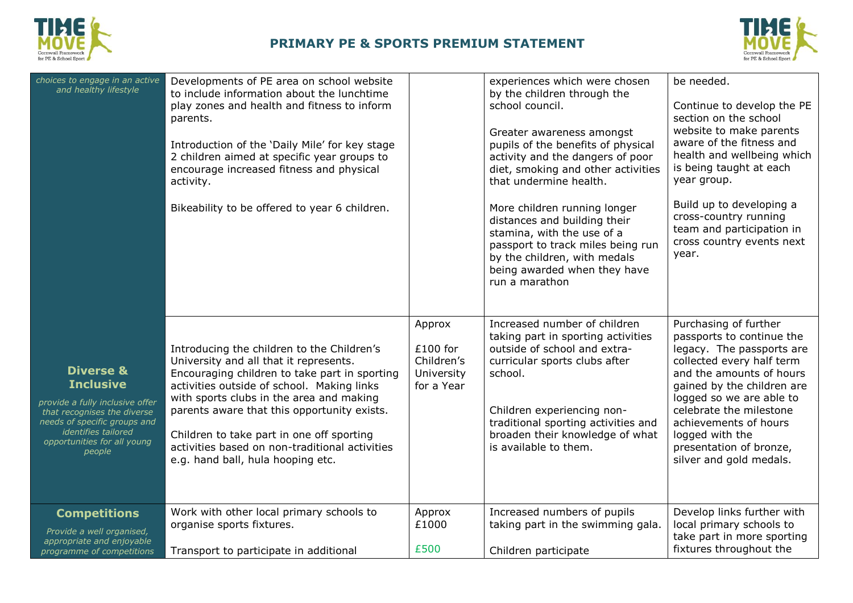



| choices to engage in an active<br>and healthy lifestyle                                                                                                                                                           | Developments of PE area on school website<br>to include information about the lunchtime<br>play zones and health and fitness to inform<br>parents.<br>Introduction of the 'Daily Mile' for key stage<br>2 children aimed at specific year groups to<br>encourage increased fitness and physical<br>activity.<br>Bikeability to be offered to year 6 children.                                                      |                                                                | experiences which were chosen<br>by the children through the<br>school council.<br>Greater awareness amongst<br>pupils of the benefits of physical<br>activity and the dangers of poor<br>diet, smoking and other activities<br>that undermine health.<br>More children running longer<br>distances and building their<br>stamina, with the use of a<br>passport to track miles being run<br>by the children, with medals<br>being awarded when they have<br>run a marathon | be needed.<br>Continue to develop the PE<br>section on the school<br>website to make parents<br>aware of the fitness and<br>health and wellbeing which<br>is being taught at each<br>year group.<br>Build up to developing a<br>cross-country running<br>team and participation in<br>cross country events next<br>year.        |
|-------------------------------------------------------------------------------------------------------------------------------------------------------------------------------------------------------------------|--------------------------------------------------------------------------------------------------------------------------------------------------------------------------------------------------------------------------------------------------------------------------------------------------------------------------------------------------------------------------------------------------------------------|----------------------------------------------------------------|-----------------------------------------------------------------------------------------------------------------------------------------------------------------------------------------------------------------------------------------------------------------------------------------------------------------------------------------------------------------------------------------------------------------------------------------------------------------------------|---------------------------------------------------------------------------------------------------------------------------------------------------------------------------------------------------------------------------------------------------------------------------------------------------------------------------------|
| <b>Diverse &amp;</b><br><b>Inclusive</b><br>provide a fully inclusive offer<br>that recognises the diverse<br>needs of specific groups and<br><i>identifies tailored</i><br>opportunities for all young<br>people | Introducing the children to the Children's<br>University and all that it represents.<br>Encouraging children to take part in sporting<br>activities outside of school. Making links<br>with sports clubs in the area and making<br>parents aware that this opportunity exists.<br>Children to take part in one off sporting<br>activities based on non-traditional activities<br>e.g. hand ball, hula hooping etc. | Approx<br>$£100$ for<br>Children's<br>University<br>for a Year | Increased number of children<br>taking part in sporting activities<br>outside of school and extra-<br>curricular sports clubs after<br>school.<br>Children experiencing non-<br>traditional sporting activities and<br>broaden their knowledge of what<br>is available to them.                                                                                                                                                                                             | Purchasing of further<br>passports to continue the<br>legacy. The passports are<br>collected every half term<br>and the amounts of hours<br>gained by the children are<br>logged so we are able to<br>celebrate the milestone<br>achievements of hours<br>logged with the<br>presentation of bronze,<br>silver and gold medals. |
| <b>Competitions</b><br>Provide a well organised,<br>appropriate and enjoyable<br>programme of competitions                                                                                                        | Work with other local primary schools to<br>organise sports fixtures.<br>Transport to participate in additional                                                                                                                                                                                                                                                                                                    | Approx<br>£1000<br>£500                                        | Increased numbers of pupils<br>taking part in the swimming gala.<br>Children participate                                                                                                                                                                                                                                                                                                                                                                                    | Develop links further with<br>local primary schools to<br>take part in more sporting<br>fixtures throughout the                                                                                                                                                                                                                 |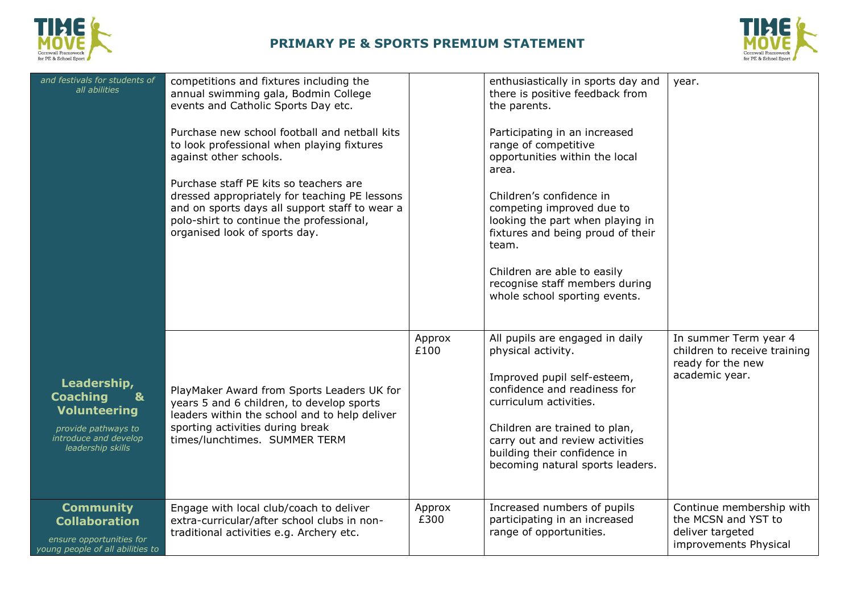



| and festivals for students of<br>all abilities                                                                                             | competitions and fixtures including the<br>annual swimming gala, Bodmin College<br>events and Catholic Sports Day etc.<br>Purchase new school football and netball kits<br>to look professional when playing fixtures<br>against other schools.<br>Purchase staff PE kits so teachers are<br>dressed appropriately for teaching PE lessons<br>and on sports days all support staff to wear a<br>polo-shirt to continue the professional,<br>organised look of sports day. |                | enthusiastically in sports day and<br>there is positive feedback from<br>the parents.<br>Participating in an increased<br>range of competitive<br>opportunities within the local<br>area.<br>Children's confidence in<br>competing improved due to<br>looking the part when playing in<br>fixtures and being proud of their<br>team.<br>Children are able to easily<br>recognise staff members during<br>whole school sporting events. | year.                                                                                        |
|--------------------------------------------------------------------------------------------------------------------------------------------|---------------------------------------------------------------------------------------------------------------------------------------------------------------------------------------------------------------------------------------------------------------------------------------------------------------------------------------------------------------------------------------------------------------------------------------------------------------------------|----------------|----------------------------------------------------------------------------------------------------------------------------------------------------------------------------------------------------------------------------------------------------------------------------------------------------------------------------------------------------------------------------------------------------------------------------------------|----------------------------------------------------------------------------------------------|
| Leadership,<br><b>Coaching</b><br>$\mathbf{a}$<br><b>Volunteering</b><br>provide pathways to<br>introduce and develop<br>leadership skills | PlayMaker Award from Sports Leaders UK for<br>years 5 and 6 children, to develop sports<br>leaders within the school and to help deliver<br>sporting activities during break<br>times/lunchtimes. SUMMER TERM                                                                                                                                                                                                                                                             | Approx<br>£100 | All pupils are engaged in daily<br>physical activity.<br>Improved pupil self-esteem,<br>confidence and readiness for<br>curriculum activities.<br>Children are trained to plan,<br>carry out and review activities<br>building their confidence in<br>becoming natural sports leaders.                                                                                                                                                 | In summer Term year 4<br>children to receive training<br>ready for the new<br>academic year. |
| <b>Community</b><br><b>Collaboration</b><br>ensure opportunities for<br>young people of all abilities to                                   | Engage with local club/coach to deliver<br>extra-curricular/after school clubs in non-<br>traditional activities e.g. Archery etc.                                                                                                                                                                                                                                                                                                                                        | Approx<br>£300 | Increased numbers of pupils<br>participating in an increased<br>range of opportunities.                                                                                                                                                                                                                                                                                                                                                | Continue membership with<br>the MCSN and YST to<br>deliver targeted<br>improvements Physical |